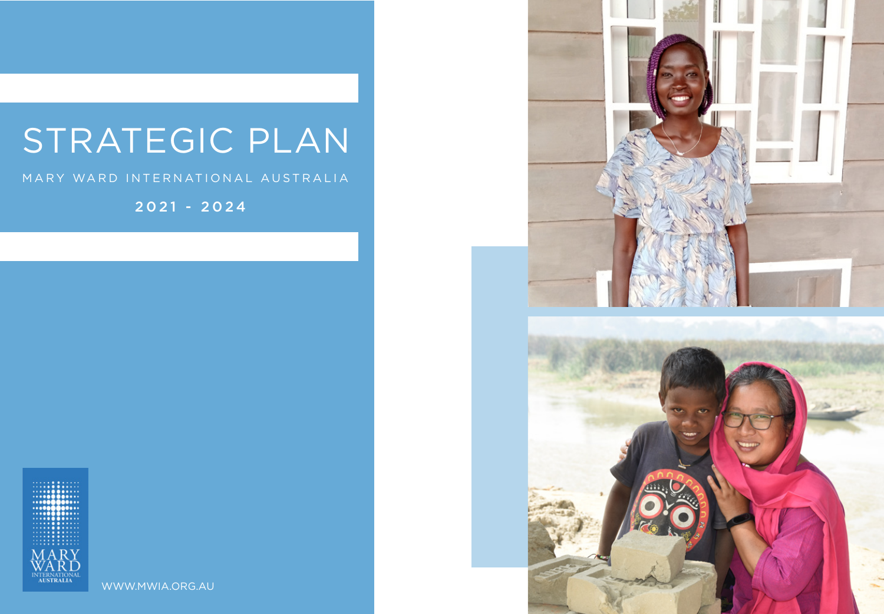# STRATEGIC PLAN

### MARY WARD INTERNATIONAL AUSTRALIA

2021 - 2024



WWW.MWIA.ORG.AU

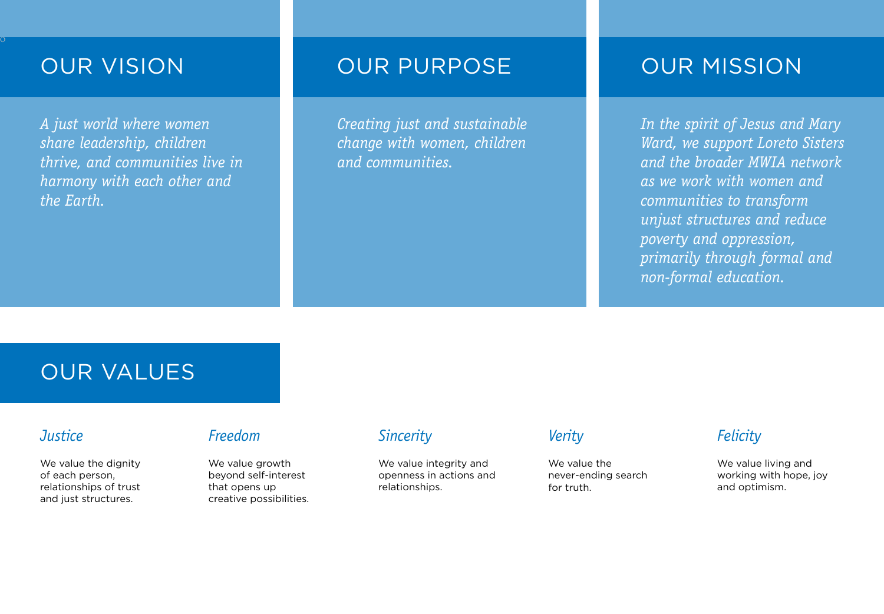$\overline{O}$ 

*A just world where women share leadership, children thrive, and communities live in harmony with each other and the Earth.* 

## OUR VISION OUR PURPOSE OUR MISSION

*Creating just and sustainable change with women, children and communities.* 

*In the spirit of Jesus and Mary Ward, we support Loreto Sisters and the broader MWIA network as we work with women and communities to transform unjust structures and reduce poverty and oppression, primarily through formal and non-formal education.* 

We value the never-ending search for truth.

## OUR VALUES

### *Justice*

We value the dignity of each person, relationships of trust and just structures.

### *Freedom*

We value growth beyond self-interest that opens up creative possibilities.

### *Sincerity*

We value integrity and openness in actions and relationships.

### *Verity*

### *Felicity*

We value living and working with hope, joy and optimism.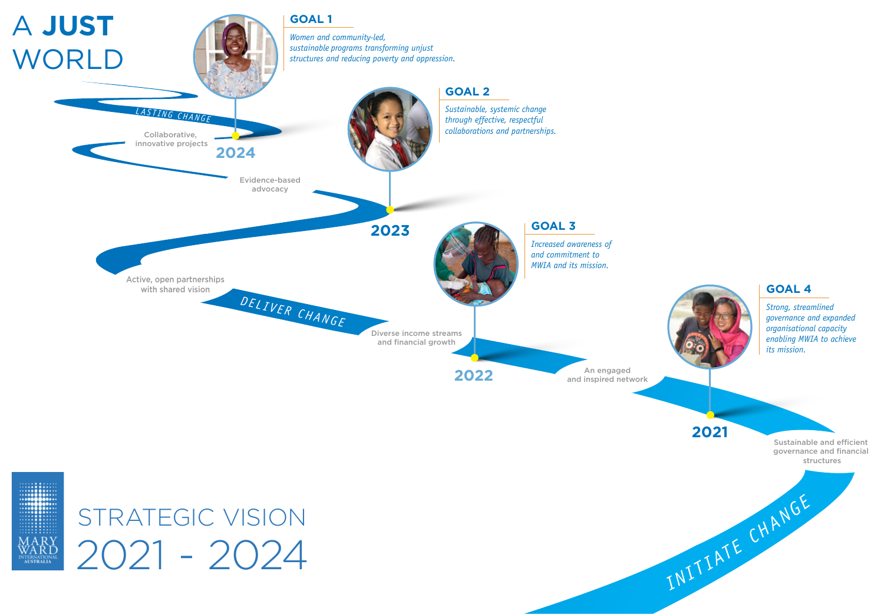





*Increased awareness of and commitment to MWIA and its mission.*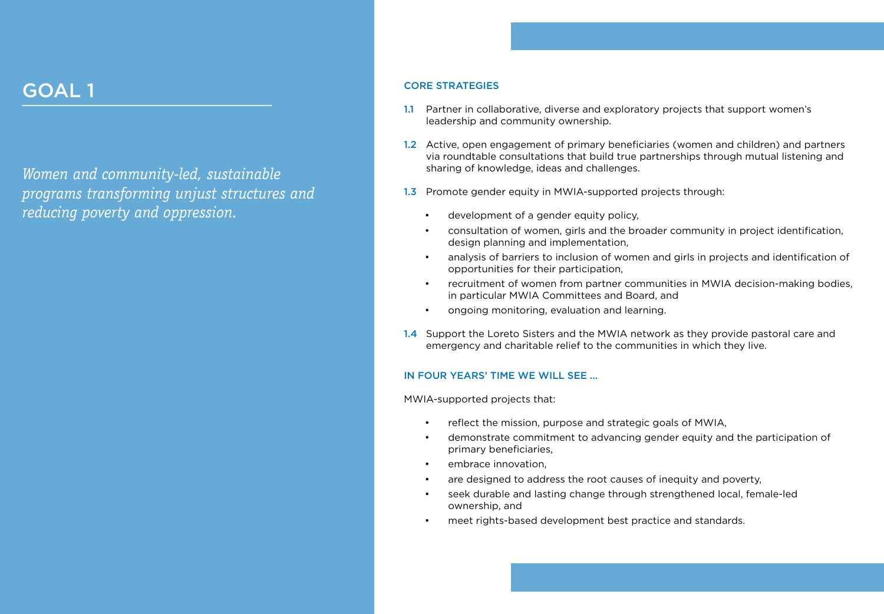## GOAL 1 CORE STRATEGIES

*Women and community-led, sustainable programs transforming unjust structures and reducing poverty and oppression.*

1.2 Active, open engagement of primary beneficiaries (women and children) and partners via roundtable consultations that build true partnerships through mutual listening and

1.3 Promote gender equity in MWIA-supported projects through:

- leadership and community ownership.
- sharing of knowledge, ideas and challenges.
- - development of a gender equity policy,
	- design planning and implementation,
	- opportunities for their participation,
	-
	- ongoing monitoring, evaluation and learning.
- 

• consultation of women, girls and the broader community in project identification,

• analysis of barriers to inclusion of women and girls in projects and identification of

are designed to address the root causes of inequity and poverty, • seek durable and lasting change through strengthened local, female-led

meet rights-based development best practice and standards.

• recruitment of women from partner communities in MWIA decision-making bodies, in particular MWIA Committees and Board, and

1.4 Support the Loreto Sisters and the MWIA network as they provide pastoral care and emergency and charitable relief to the communities in which they live.

reflect the mission, purpose and strategic goals of MWIA,

### IN FOUR YEARS' TIME WE WILL SEE ...

MWIA-supported projects that:

• demonstrate commitment to advancing gender equity and the participation of

- 
- primary beneficiaries,
- embrace innovation,
- 
- ownership, and
- 

1.1 Partner in collaborative, diverse and exploratory projects that support women's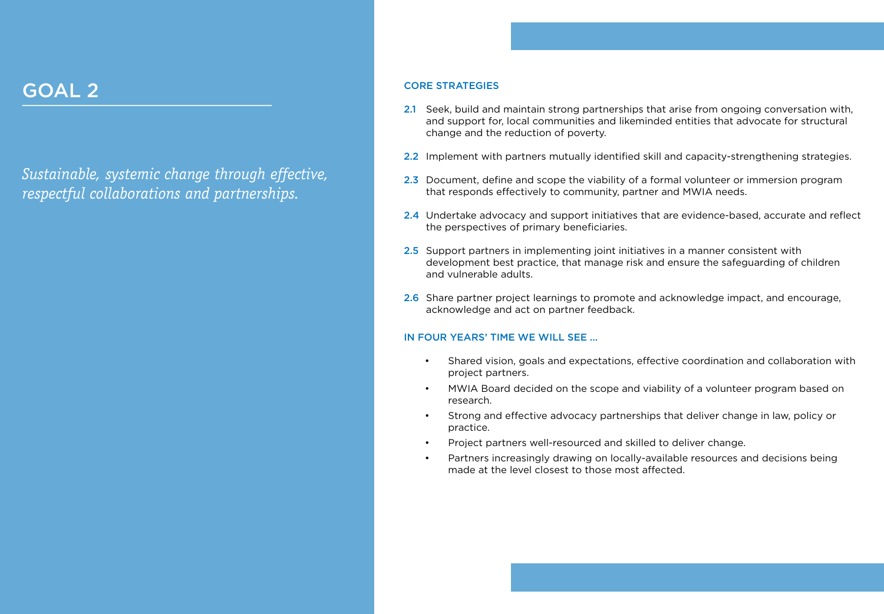## GOAL 2 CORE STRATEGIES

*Sustainable, systemic change through effective, respectful collaborations and partnerships.* 

2.1 Seek, build and maintain strong partnerships that arise from ongoing conversation with, and support for, local communities and likeminded entities that advocate for structural

2.2 Implement with partners mutually identified skill and capacity-strengthening strategies.

2.3 Document, define and scope the viability of a formal volunteer or immersion program that responds effectively to community, partner and MWIA needs.

2.4 Undertake advocacy and support initiatives that are evidence-based, accurate and reflect

2.5 Support partners in implementing joint initiatives in a manner consistent with development best practice, that manage risk and ensure the safeguarding of children

2.6 Share partner project learnings to promote and acknowledge impact, and encourage,

- change and the reduction of poverty.
- 
- 
- the perspectives of primary beneficiaries.
- and vulnerable adults.
- acknowledge and act on partner feedback.

### IN FOUR YEARS' TIME WE WILL SEE ...

• Shared vision, goals and expectations, effective coordination and collaboration with

• MWIA Board decided on the scope and viability of a volunteer program based on

- project partners.
- research.
- practice.
- 
- 

• Strong and effective advocacy partnerships that deliver change in law, policy or

• Project partners well-resourced and skilled to deliver change.

• Partners increasingly drawing on locally-available resources and decisions being made at the level closest to those most affected.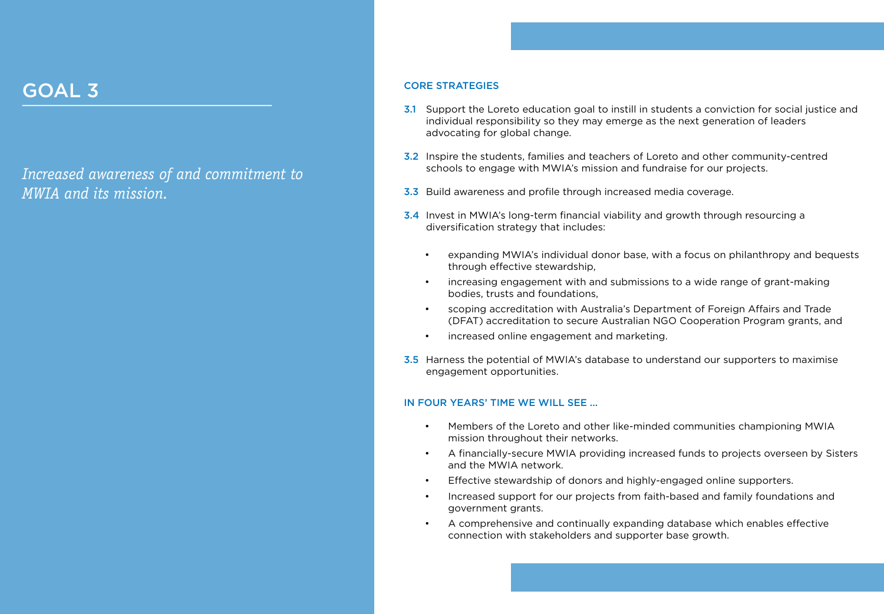## GOAL 3 CORE STRATEGIES

### *Increased awareness of and commitment to MWIA and its mission.*

**3.1** Support the Loreto education goal to instill in students a conviction for social justice and individual responsibility so they may emerge as the next generation of leaders

3.2 Inspire the students, families and teachers of Loreto and other community-centred schools to engage with MWIA's mission and fundraise for our projects.

3.3 Build awareness and profile through increased media coverage.

3.4 Invest in MWIA's long-term financial viability and growth through resourcing a

expanding MWIA's individual donor base, with a focus on philanthropy and bequests

- advocating for global change.
- 
- 
- diversification strategy that includes:
	- through effective stewardship,
	- bodies, trusts and foundations,
	-
	-
- engagement opportunities.

• increasing engagement with and submissions to a wide range of grant-making

• scoping accreditation with Australia's Department of Foreign Affairs and Trade (DFAT) accreditation to secure Australian NGO Cooperation Program grants, and

• increased online engagement and marketing.

3.5 Harness the potential of MWIA's database to understand our supporters to maximise

### IN FOUR YEARS' TIME WE WILL SEE ...

• Members of the Loreto and other like-minded communities championing MWIA

• A financially-secure MWIA providing increased funds to projects overseen by Sisters

- mission throughout their networks.
- and the MWIA network.
- 
- government grants.
- 

• Effective stewardship of donors and highly-engaged online supporters.

• Increased support for our projects from faith-based and family foundations and

• A comprehensive and continually expanding database which enables effective connection with stakeholders and supporter base growth.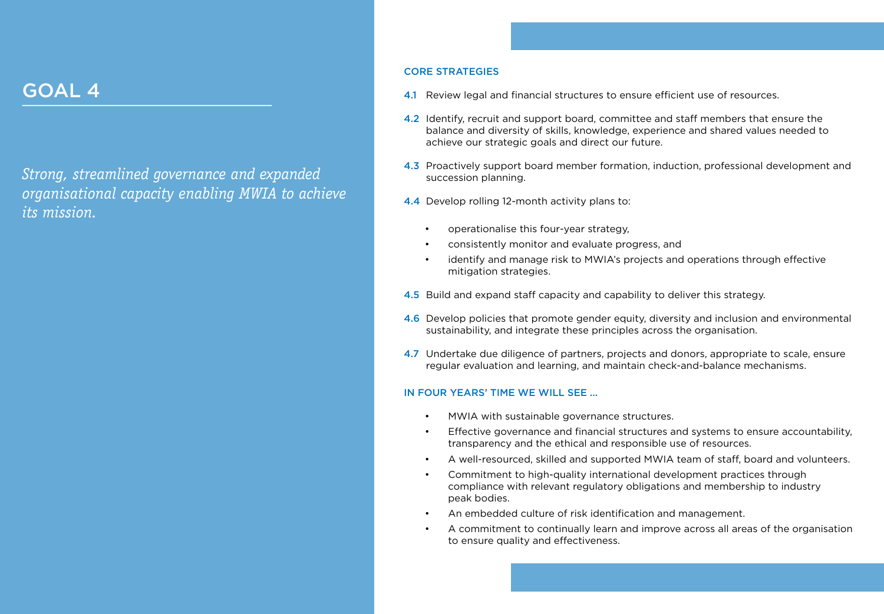*Strong, streamlined governance and expanded organisational capacity enabling MWIA to achieve its mission.* 

## GOAL 4

### CORE STRATEGIES

4.2 Identify, recruit and support board, committee and staff members that ensure the balance and diversity of skills, knowledge, experience and shared values needed to

4.3 Proactively support board member formation, induction, professional development and

4.6 Develop policies that promote gender equity, diversity and inclusion and environmental sustainability, and integrate these principles across the organisation.

- 
- achieve our strategic goals and direct our future.
- succession planning.
- 4.4 Develop rolling 12-month activity plans to:
	- operationalise this four-year strategy,
	-
	- mitigation strategies.
- 
- 
- 

4.7 Undertake due diligence of partners, projects and donors, appropriate to scale, ensure regular evaluation and learning, and maintain check-and-balance mechanisms.

• consistently monitor and evaluate progress, and

identify and manage risk to MWIA's projects and operations through effective

4.5 Build and expand staff capacity and capability to deliver this strategy.

### IN FOUR YEARS' TIME WE WILL SEE ...

- MWIA with sustainable governance structures.
- Effective governance and financial structures and systems to ensure accountability, transparency and the ethical and responsible use of resources.
- A well-resourced, skilled and supported MWIA team of staff, board and volunteers.
- Commitment to high-quality international development practices through compliance with relevant regulatory obligations and membership to industry peak bodies.
- 
- to ensure quality and effectiveness.

4.1 Review legal and financial structures to ensure efficient use of resources.

• An embedded culture of risk identification and management.

• A commitment to continually learn and improve across all areas of the organisation